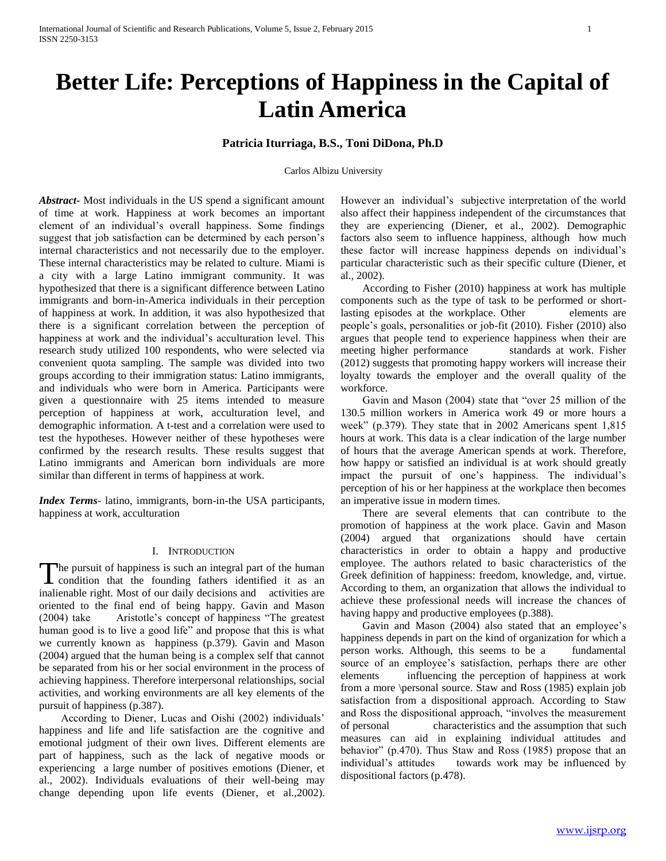# **Better Life: Perceptions of Happiness in the Capital of Latin America**

## **Patricia Iturriaga, B.S., Toni DiDona, Ph.D**

Carlos Albizu University

*Abstract***-** Most individuals in the US spend a significant amount of time at work. Happiness at work becomes an important element of an individual's overall happiness. Some findings suggest that job satisfaction can be determined by each person's internal characteristics and not necessarily due to the employer. These internal characteristics may be related to culture. Miami is a city with a large Latino immigrant community. It was hypothesized that there is a significant difference between Latino immigrants and born-in-America individuals in their perception of happiness at work. In addition, it was also hypothesized that there is a significant correlation between the perception of happiness at work and the individual's acculturation level. This research study utilized 100 respondents, who were selected via convenient quota sampling. The sample was divided into two groups according to their immigration status: Latino immigrants, and individuals who were born in America. Participants were given a questionnaire with 25 items intended to measure perception of happiness at work, acculturation level, and demographic information. A t-test and a correlation were used to test the hypotheses. However neither of these hypotheses were confirmed by the research results. These results suggest that Latino immigrants and American born individuals are more similar than different in terms of happiness at work.

*Index Terms*- latino, immigrants, born-in-the USA participants, happiness at work, acculturation

#### I. INTRODUCTION

he pursuit of happiness is such an integral part of the human The pursuit of happiness is such an integral part of the human<br>condition that the founding fathers identified it as an inalienable right. Most of our daily decisions and activities are oriented to the final end of being happy. Gavin and Mason (2004) take Aristotle's concept of happiness "The greatest human good is to live a good life" and propose that this is what we currently known as happiness (p.379). Gavin and Mason (2004) argued that the human being is a complex self that cannot be separated from his or her social environment in the process of achieving happiness. Therefore interpersonal relationships, social activities, and working environments are all key elements of the pursuit of happiness (p.387).

 According to Diener, Lucas and Oishi (2002) individuals' happiness and life and life satisfaction are the cognitive and emotional judgment of their own lives. Different elements are part of happiness, such as the lack of negative moods or experiencing a large number of positives emotions (Diener, et al., 2002). Individuals evaluations of their well-being may change depending upon life events (Diener, et al.,2002). However an individual's subjective interpretation of the world also affect their happiness independent of the circumstances that they are experiencing (Diener, et al., 2002). Demographic factors also seem to influence happiness, although how much these factor will increase happiness depends on individual's particular characteristic such as their specific culture (Diener, et al., 2002).

 According to Fisher (2010) happiness at work has multiple components such as the type of task to be performed or shortlasting episodes at the workplace. Other elements are people's goals, personalities or job-fit (2010). Fisher (2010) also argues that people tend to experience happiness when their are meeting higher performance standards at work. Fisher (2012) suggests that promoting happy workers will increase their loyalty towards the employer and the overall quality of the workforce.

 Gavin and Mason (2004) state that "over 25 million of the 130.5 million workers in America work 49 or more hours a week" (p.379). They state that in 2002 Americans spent 1,815 hours at work. This data is a clear indication of the large number of hours that the average American spends at work. Therefore, how happy or satisfied an individual is at work should greatly impact the pursuit of one's happiness. The individual's perception of his or her happiness at the workplace then becomes an imperative issue in modern times.

 There are several elements that can contribute to the promotion of happiness at the work place. Gavin and Mason (2004) argued that organizations should have certain characteristics in order to obtain a happy and productive employee. The authors related to basic characteristics of the Greek definition of happiness: freedom, knowledge, and, virtue. According to them, an organization that allows the individual to achieve these professional needs will increase the chances of having happy and productive employees (p.388).

 Gavin and Mason (2004) also stated that an employee's happiness depends in part on the kind of organization for which a person works. Although, this seems to be a fundamental source of an employee's satisfaction, perhaps there are other elements influencing the perception of happiness at work from a more \personal source. Staw and Ross (1985) explain job satisfaction from a dispositional approach. According to Staw and Ross the dispositional approach, "involves the measurement of personal characteristics and the assumption that such measures can aid in explaining individual attitudes and behavior" (p.470). Thus Staw and Ross (1985) propose that an individual's attitudes towards work may be influenced by dispositional factors (p.478).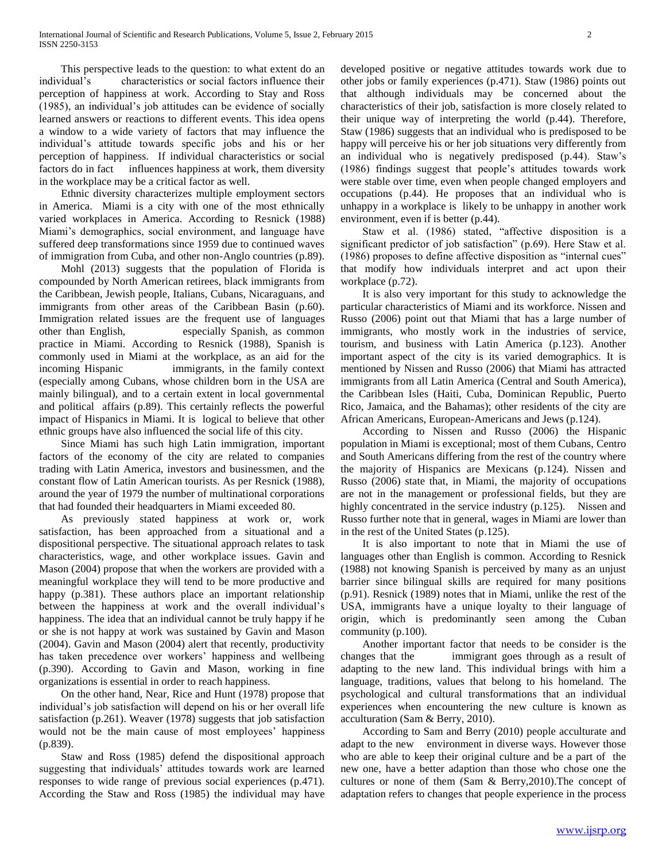This perspective leads to the question: to what extent do an individual's characteristics or social factors influence their perception of happiness at work. According to Stay and Ross (1985), an individual's job attitudes can be evidence of socially learned answers or reactions to different events. This idea opens a window to a wide variety of factors that may influence the individual's attitude towards specific jobs and his or her perception of happiness. If individual characteristics or social factors do in fact influences happiness at work, them diversity in the workplace may be a critical factor as well.

 Ethnic diversity characterizes multiple employment sectors in America. Miami is a city with one of the most ethnically varied workplaces in America. According to Resnick (1988) Miami's demographics, social environment, and language have suffered deep transformations since 1959 due to continued waves of immigration from Cuba, and other non-Anglo countries (p.89).

 Mohl (2013) suggests that the population of Florida is compounded by North American retirees, black immigrants from the Caribbean, Jewish people, Italians, Cubans, Nicaraguans, and immigrants from other areas of the Caribbean Basin (p.60). Immigration related issues are the frequent use of languages other than English, especially Spanish, as common practice in Miami. According to Resnick (1988), Spanish is commonly used in Miami at the workplace, as an aid for the incoming Hispanic immigrants, in the family context (especially among Cubans, whose children born in the USA are mainly bilingual), and to a certain extent in local governmental and political affairs (p.89). This certainly reflects the powerful impact of Hispanics in Miami. It is logical to believe that other ethnic groups have also influenced the social life of this city.

 Since Miami has such high Latin immigration, important factors of the economy of the city are related to companies trading with Latin America, investors and businessmen, and the constant flow of Latin American tourists. As per Resnick (1988), around the year of 1979 the number of multinational corporations that had founded their headquarters in Miami exceeded 80.

 As previously stated happiness at work or, work satisfaction, has been approached from a situational and a dispositional perspective. The situational approach relates to task characteristics, wage, and other workplace issues. Gavin and Mason (2004) propose that when the workers are provided with a meaningful workplace they will tend to be more productive and happy (p.381). These authors place an important relationship between the happiness at work and the overall individual's happiness. The idea that an individual cannot be truly happy if he or she is not happy at work was sustained by Gavin and Mason (2004). Gavin and Mason (2004) alert that recently, productivity has taken precedence over workers' happiness and wellbeing (p.390). According to Gavin and Mason, working in fine organizations is essential in order to reach happiness.

 On the other hand, Near, Rice and Hunt (1978) propose that individual's job satisfaction will depend on his or her overall life satisfaction (p.261). Weaver (1978) suggests that job satisfaction would not be the main cause of most employees' happiness (p.839).

 Staw and Ross (1985) defend the dispositional approach suggesting that individuals' attitudes towards work are learned responses to wide range of previous social experiences (p.471). According the Staw and Ross (1985) the individual may have developed positive or negative attitudes towards work due to other jobs or family experiences (p.471). Staw (1986) points out that although individuals may be concerned about the characteristics of their job, satisfaction is more closely related to their unique way of interpreting the world (p.44). Therefore, Staw (1986) suggests that an individual who is predisposed to be happy will perceive his or her job situations very differently from an individual who is negatively predisposed (p.44). Staw's (1986) findings suggest that people's attitudes towards work were stable over time, even when people changed employers and occupations (p.44). He proposes that an individual who is unhappy in a workplace is likely to be unhappy in another work environment, even if is better (p.44).

 Staw et al. (1986) stated, "affective disposition is a significant predictor of job satisfaction" (p.69). Here Staw et al. (1986) proposes to define affective disposition as "internal cues" that modify how individuals interpret and act upon their workplace (p.72).

 It is also very important for this study to acknowledge the particular characteristics of Miami and its workforce. Nissen and Russo (2006) point out that Miami that has a large number of immigrants, who mostly work in the industries of service, tourism, and business with Latin America (p.123). Another important aspect of the city is its varied demographics. It is mentioned by Nissen and Russo (2006) that Miami has attracted immigrants from all Latin America (Central and South America), the Caribbean Isles (Haiti, Cuba, Dominican Republic, Puerto Rico, Jamaica, and the Bahamas); other residents of the city are African Americans, European-Americans and Jews (p.124).

 According to Nissen and Russo (2006) the Hispanic population in Miami is exceptional; most of them Cubans, Centro and South Americans differing from the rest of the country where the majority of Hispanics are Mexicans (p.124). Nissen and Russo (2006) state that, in Miami, the majority of occupations are not in the management or professional fields, but they are highly concentrated in the service industry (p.125). Nissen and Russo further note that in general, wages in Miami are lower than in the rest of the United States (p.125).

 It is also important to note that in Miami the use of languages other than English is common. According to Resnick (1988) not knowing Spanish is perceived by many as an unjust barrier since bilingual skills are required for many positions (p.91). Resnick (1989) notes that in Miami, unlike the rest of the USA, immigrants have a unique loyalty to their language of origin, which is predominantly seen among the Cuban community (p.100).

 Another important factor that needs to be consider is the changes that the immigrant goes through as a result of adapting to the new land. This individual brings with him a language, traditions, values that belong to his homeland. The psychological and cultural transformations that an individual experiences when encountering the new culture is known as acculturation (Sam & Berry, 2010).

 According to Sam and Berry (2010) people acculturate and adapt to the new environment in diverse ways. However those who are able to keep their original culture and be a part of the new one, have a better adaption than those who chose one the cultures or none of them (Sam & Berry,2010).The concept of adaptation refers to changes that people experience in the process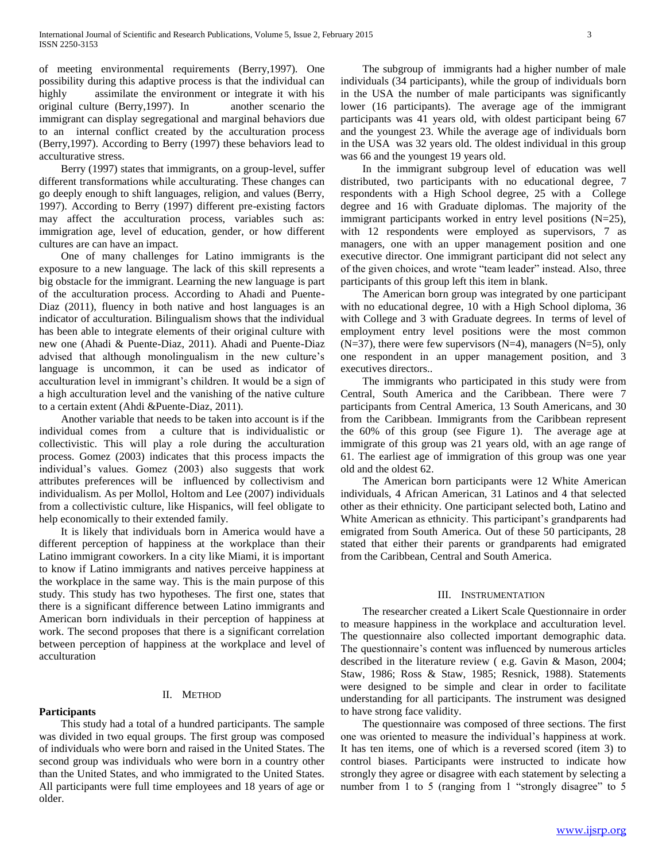of meeting environmental requirements (Berry,1997). One possibility during this adaptive process is that the individual can highly assimilate the environment or integrate it with his original culture (Berry,1997). In another scenario the immigrant can display segregational and marginal behaviors due to an internal conflict created by the acculturation process (Berry,1997). According to Berry (1997) these behaviors lead to acculturative stress.

 Berry (1997) states that immigrants, on a group-level, suffer different transformations while acculturating. These changes can go deeply enough to shift languages, religion, and values (Berry, 1997). According to Berry (1997) different pre-existing factors may affect the acculturation process, variables such as: immigration age, level of education, gender, or how different cultures are can have an impact.

 One of many challenges for Latino immigrants is the exposure to a new language. The lack of this skill represents a big obstacle for the immigrant. Learning the new language is part of the acculturation process. According to Ahadi and Puente-Diaz (2011), fluency in both native and host languages is an indicator of acculturation. Bilingualism shows that the individual has been able to integrate elements of their original culture with new one (Ahadi & Puente-Diaz, 2011). Ahadi and Puente-Diaz advised that although monolingualism in the new culture's language is uncommon, it can be used as indicator of acculturation level in immigrant's children. It would be a sign of a high acculturation level and the vanishing of the native culture to a certain extent (Ahdi &Puente-Diaz, 2011).

 Another variable that needs to be taken into account is if the individual comes from a culture that is individualistic or collectivistic. This will play a role during the acculturation process. Gomez (2003) indicates that this process impacts the individual's values. Gomez (2003) also suggests that work attributes preferences will be influenced by collectivism and individualism. As per Mollol, Holtom and Lee (2007) individuals from a collectivistic culture, like Hispanics, will feel obligate to help economically to their extended family.

 It is likely that individuals born in America would have a different perception of happiness at the workplace than their Latino immigrant coworkers. In a city like Miami, it is important to know if Latino immigrants and natives perceive happiness at the workplace in the same way. This is the main purpose of this study. This study has two hypotheses. The first one, states that there is a significant difference between Latino immigrants and American born individuals in their perception of happiness at work. The second proposes that there is a significant correlation between perception of happiness at the workplace and level of acculturation

## II. METHOD

## **Participants**

 This study had a total of a hundred participants. The sample was divided in two equal groups. The first group was composed of individuals who were born and raised in the United States. The second group was individuals who were born in a country other than the United States, and who immigrated to the United States. All participants were full time employees and 18 years of age or older.

 The subgroup of immigrants had a higher number of male individuals (34 participants), while the group of individuals born in the USA the number of male participants was significantly lower (16 participants). The average age of the immigrant participants was 41 years old, with oldest participant being 67 and the youngest 23. While the average age of individuals born in the USA was 32 years old. The oldest individual in this group was 66 and the youngest 19 years old.

 In the immigrant subgroup level of education was well distributed, two participants with no educational degree, 7 respondents with a High School degree, 25 with a College degree and 16 with Graduate diplomas. The majority of the immigrant participants worked in entry level positions (N=25), with 12 respondents were employed as supervisors, 7 as managers, one with an upper management position and one executive director. One immigrant participant did not select any of the given choices, and wrote "team leader" instead. Also, three participants of this group left this item in blank.

 The American born group was integrated by one participant with no educational degree, 10 with a High School diploma, 36 with College and 3 with Graduate degrees. In terms of level of employment entry level positions were the most common  $(N=37)$ , there were few supervisors  $(N=4)$ , managers  $(N=5)$ , only one respondent in an upper management position, and 3 executives directors..

 The immigrants who participated in this study were from Central, South America and the Caribbean. There were 7 participants from Central America, 13 South Americans, and 30 from the Caribbean. Immigrants from the Caribbean represent the 60% of this group (see Figure 1). The average age at immigrate of this group was 21 years old, with an age range of 61. The earliest age of immigration of this group was one year old and the oldest 62.

 The American born participants were 12 White American individuals, 4 African American, 31 Latinos and 4 that selected other as their ethnicity. One participant selected both, Latino and White American as ethnicity. This participant's grandparents had emigrated from South America. Out of these 50 participants, 28 stated that either their parents or grandparents had emigrated from the Caribbean, Central and South America.

### III. INSTRUMENTATION

 The researcher created a Likert Scale Questionnaire in order to measure happiness in the workplace and acculturation level. The questionnaire also collected important demographic data. The questionnaire's content was influenced by numerous articles described in the literature review ( e.g. Gavin & Mason, 2004; Staw, 1986; Ross & Staw, 1985; Resnick, 1988). Statements were designed to be simple and clear in order to facilitate understanding for all participants. The instrument was designed to have strong face validity.

 The questionnaire was composed of three sections. The first one was oriented to measure the individual's happiness at work. It has ten items, one of which is a reversed scored (item 3) to control biases. Participants were instructed to indicate how strongly they agree or disagree with each statement by selecting a number from 1 to 5 (ranging from 1 "strongly disagree" to 5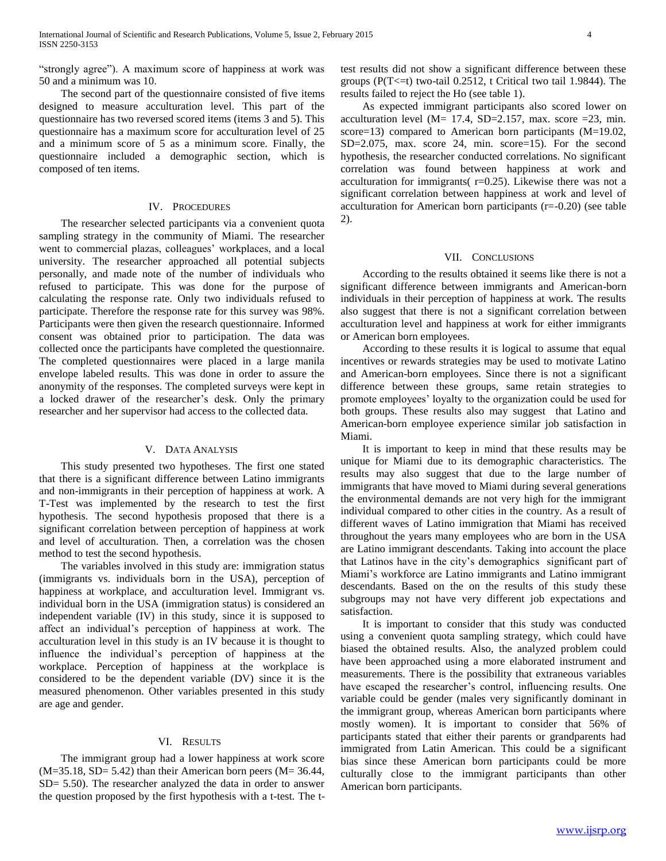"strongly agree"). A maximum score of happiness at work was 50 and a minimum was 10.

 The second part of the questionnaire consisted of five items designed to measure acculturation level. This part of the questionnaire has two reversed scored items (items 3 and 5). This questionnaire has a maximum score for acculturation level of 25 and a minimum score of 5 as a minimum score. Finally, the questionnaire included a demographic section, which is composed of ten items.

### IV. PROCEDURES

 The researcher selected participants via a convenient quota sampling strategy in the community of Miami. The researcher went to commercial plazas, colleagues' workplaces, and a local university. The researcher approached all potential subjects personally, and made note of the number of individuals who refused to participate. This was done for the purpose of calculating the response rate. Only two individuals refused to participate. Therefore the response rate for this survey was 98%. Participants were then given the research questionnaire. Informed consent was obtained prior to participation. The data was collected once the participants have completed the questionnaire. The completed questionnaires were placed in a large manila envelope labeled results. This was done in order to assure the anonymity of the responses. The completed surveys were kept in a locked drawer of the researcher's desk. Only the primary researcher and her supervisor had access to the collected data.

#### V. DATA ANALYSIS

 This study presented two hypotheses. The first one stated that there is a significant difference between Latino immigrants and non-immigrants in their perception of happiness at work. A T-Test was implemented by the research to test the first hypothesis. The second hypothesis proposed that there is a significant correlation between perception of happiness at work and level of acculturation. Then, a correlation was the chosen method to test the second hypothesis.

 The variables involved in this study are: immigration status (immigrants vs. individuals born in the USA), perception of happiness at workplace, and acculturation level. Immigrant vs. individual born in the USA (immigration status) is considered an independent variable (IV) in this study, since it is supposed to affect an individual's perception of happiness at work. The acculturation level in this study is an IV because it is thought to influence the individual's perception of happiness at the workplace. Perception of happiness at the workplace is considered to be the dependent variable (DV) since it is the measured phenomenon. Other variables presented in this study are age and gender.

## VI. RESULTS

 The immigrant group had a lower happiness at work score  $(M=35.18, SD= 5.42)$  than their American born peers  $(M=36.44,$ SD= 5.50). The researcher analyzed the data in order to answer the question proposed by the first hypothesis with a t-test. The ttest results did not show a significant difference between these groups ( $P(T \le t)$  two-tail 0.2512, t Critical two tail 1.9844). The results failed to reject the Ho (see table 1).

 As expected immigrant participants also scored lower on acculturation level ( $M = 17.4$ , SD=2.157, max. score =23, min. score=13) compared to American born participants (M=19.02, SD=2.075, max. score 24, min. score=15). For the second hypothesis, the researcher conducted correlations. No significant correlation was found between happiness at work and acculturation for immigrants( r=0.25). Likewise there was not a significant correlation between happiness at work and level of acculturation for American born participants (r=-0.20) (see table 2).

#### VII. CONCLUSIONS

 According to the results obtained it seems like there is not a significant difference between immigrants and American-born individuals in their perception of happiness at work. The results also suggest that there is not a significant correlation between acculturation level and happiness at work for either immigrants or American born employees.

 According to these results it is logical to assume that equal incentives or rewards strategies may be used to motivate Latino and American-born employees. Since there is not a significant difference between these groups, same retain strategies to promote employees' loyalty to the organization could be used for both groups. These results also may suggest that Latino and American-born employee experience similar job satisfaction in Miami.

 It is important to keep in mind that these results may be unique for Miami due to its demographic characteristics. The results may also suggest that due to the large number of immigrants that have moved to Miami during several generations the environmental demands are not very high for the immigrant individual compared to other cities in the country. As a result of different waves of Latino immigration that Miami has received throughout the years many employees who are born in the USA are Latino immigrant descendants. Taking into account the place that Latinos have in the city's demographics significant part of Miami's workforce are Latino immigrants and Latino immigrant descendants. Based on the on the results of this study these subgroups may not have very different job expectations and satisfaction.

 It is important to consider that this study was conducted using a convenient quota sampling strategy, which could have biased the obtained results. Also, the analyzed problem could have been approached using a more elaborated instrument and measurements. There is the possibility that extraneous variables have escaped the researcher's control, influencing results. One variable could be gender (males very significantly dominant in the immigrant group, whereas American born participants where mostly women). It is important to consider that 56% of participants stated that either their parents or grandparents had immigrated from Latin American. This could be a significant bias since these American born participants could be more culturally close to the immigrant participants than other American born participants.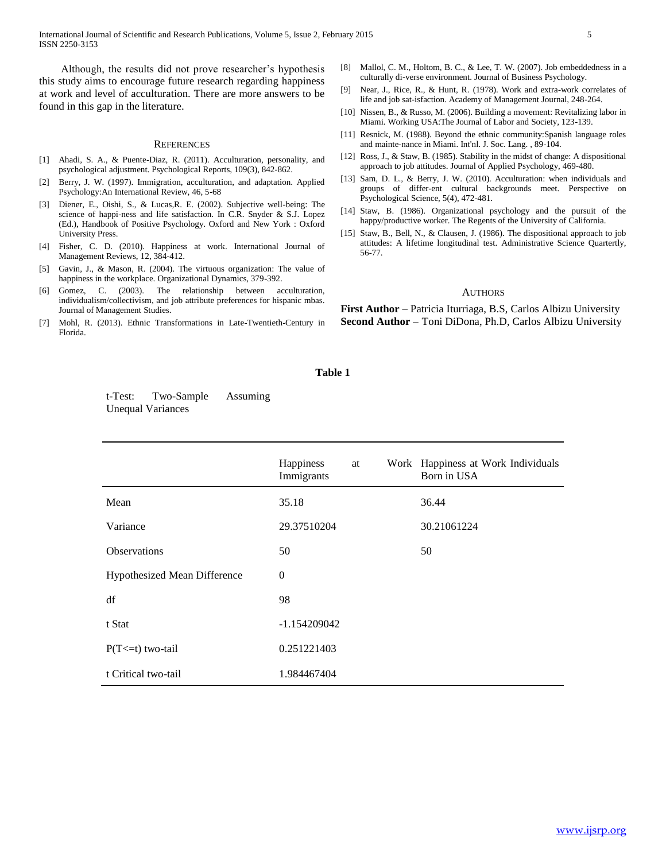International Journal of Scientific and Research Publications, Volume 5, Issue 2, February 2015 5 ISSN 2250-3153

 Although, the results did not prove researcher's hypothesis this study aims to encourage future research regarding happiness at work and level of acculturation. There are more answers to be found in this gap in the literature.

#### **REFERENCES**

- [1] Ahadi, S. A., & Puente-Diaz, R. (2011). Acculturation, personality, and psychological adjustment. Psychological Reports, 109(3), 842-862.
- [2] Berry, J. W. (1997). Immigration, acculturation, and adaptation. Applied Psychology:An International Review, 46, 5-68
- [3] Diener, E., Oishi, S., & Lucas,R. E. (2002). Subjective well-being: The science of happi-ness and life satisfaction. In C.R. Snyder & S.J. Lopez (Ed.), Handbook of Positive Psychology. Oxford and New York : Oxford University Press.
- [4] Fisher, C. D. (2010). Happiness at work. International Journal of Management Reviews, 12, 384-412.
- Gavin, J., & Mason, R. (2004). The virtuous organization: The value of happiness in the workplace. Organizational Dynamics, 379-392.
- [6] Gomez, C. (2003). The relationship between acculturation, individualism/collectivism, and job attribute preferences for hispanic mbas. Journal of Management Studies.
- [7] Mohl, R. (2013). Ethnic Transformations in Late-Twentieth-Century in Florida.
- [8] Mallol, C. M., Holtom, B. C., & Lee, T. W. (2007). Job embeddedness in a culturally di-verse environment. Journal of Business Psychology.
- [9] Near, J., Rice, R., & Hunt, R. (1978). Work and extra-work correlates of life and job sat-isfaction. Academy of Management Journal, 248-264.
- [10] Nissen, B., & Russo, M. (2006). Building a movement: Revitalizing labor in Miami. Working USA:The Journal of Labor and Society, 123-139.
- [11] Resnick, M. (1988). Beyond the ethnic community:Spanish language roles and mainte-nance in Miami. Int'nl. J. Soc. Lang. , 89-104.
- [12] Ross, J., & Staw, B. (1985). Stability in the midst of change: A dispositional approach to job attitudes. Journal of Applied Psychology, 469-480.
- [13] Sam, D. L., & Berry, J. W. (2010). Acculturation: when individuals and groups of differ-ent cultural backgrounds meet. Perspective on Psychological Science, 5(4), 472-481.
- [14] Staw, B. (1986). Organizational psychology and the pursuit of the happy/productive worker. The Regents of the University of California.
- [15] Staw, B., Bell, N., & Clausen, J. (1986). The dispositional approach to job attitudes: A lifetime longitudinal test. Administrative Science Quartertly, 56-77.

#### AUTHORS

**First Author** – Patricia Iturriaga, B.S, Carlos Albizu University **Second Author** – Toni DiDona, Ph.D, Carlos Albizu University

#### **Table 1**

t-Test: Two-Sample Assuming Unequal Variances

|                                     | Happiness<br>Immigrants | at |  | Work Happiness at Work Individuals<br>Born in USA |
|-------------------------------------|-------------------------|----|--|---------------------------------------------------|
| Mean                                | 35.18                   |    |  | 36.44                                             |
| Variance                            | 29.37510204             |    |  | 30.21061224                                       |
| <b>Observations</b>                 | 50                      |    |  | 50                                                |
| <b>Hypothesized Mean Difference</b> | $\theta$                |    |  |                                                   |
| df                                  | 98                      |    |  |                                                   |
| t Stat                              | $-1.154209042$          |    |  |                                                   |
| $P(T \le t)$ two-tail               | 0.251221403             |    |  |                                                   |
| t Critical two-tail                 | 1.984467404             |    |  |                                                   |